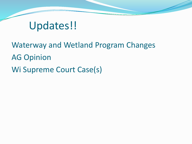### Updates!!

Waterway and Wetland Program Changes AG Opinion Wi Supreme Court Case(s)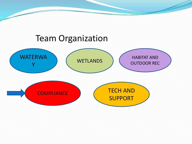#### Team Organization

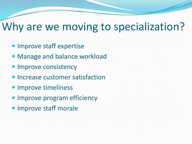#### Why are we moving to specialization?

- Improve staff expertise
- Manage and balance workload
- Improve consistency
- **Increase customer satisfaction**
- Improve timeliness
- Improve program efficiency
- **Improve staff morale**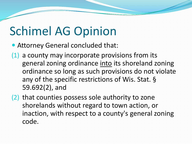## Schimel AG Opinion

- Attorney General concluded that:
- (1) a county may incorporate provisions from its general zoning ordinance into its shoreland zoning ordinance so long as such provisions do not violate any of the specific restrictions of Wis. Stat. § 59.692(2), and
- (2) that counties possess sole authority to zone shorelands without regard to town action, or inaction, with respect to a county's general zoning code.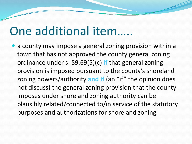### One additional item…..

• a county may impose a general zoning provision within a town that has not approved the county general zoning ordinance under s. 59.69(5)(c) **if** that general zoning provision is imposed pursuant to the county's shoreland zoning powers/authority **and if** (an "if" the opinion does not discuss) the general zoning provision that the county imposes under shoreland zoning authority can be plausibly related/connected to/in service of the statutory purposes and authorizations for shoreland zoning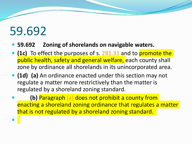# 59.692

 $\bullet$ 

- **59.692 Zoning of shorelands on navigable waters.**
- **(1c)** To effect the purposes of s. [281.31](http://docs.legis.wisconsin.gov/document/statutes/281.31) and to promote the public health, safety and general welfare, each county shall zone by ordinance all shorelands in its unincorporated area.
- **(1d) (a)** An ordinance enacted under this section may not regulate a matter more restrictively than the matter is regulated by a shoreland zoning standard.
- **(b)** Paragraph [\(a\)](http://docs.legis.wisconsin.gov/document/statutes/59.692(1d)(a)) does not prohibit a county from enacting a shoreland zoning ordinance that regulates a matter that is not regulated by a shoreland zoning standard.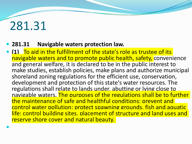## 281.31

 $\bullet$ 

- **281.31 Navigable waters protection law.**
- **(1)** To aid in the fulfillment of the state's role as trustee of its navigable waters and to promote public health, safety, convenience and general welfare, it is declared to be in the public interest to make studies, establish policies, make plans and authorize municipal shoreland zoning regulations for the efficient use, conservation, development and protection of this state's water resources. The regulations shall relate to lands under, abutting or lying close to navigable waters. The purposes of the regulations shall be to further the maintenance of safe and healthful conditions; prevent and control water pollution; protect spawning grounds, fish and aquatic life; control building sites, placement of structure and land uses and reserve shore cover and natural beauty.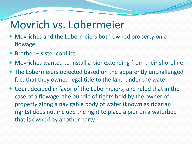### Movrich vs. Lobermeier

- Movriches and the Lobermeiers both owned property on a flowage
- Brother sister conflict
- Movriches wanted to install a pier extending from their shoreline.
- The Lobermeiers objected based on the apparently unchallenged fact that they owned legal title to the land under the water
- Court decided in favor of the Lobermeiers, and ruled that in the case of a flowage, the bundle of rights held by the owner of property along a navigable body of water (known as riparian rights) does not include the right to place a pier on a waterbed that is owned by another party